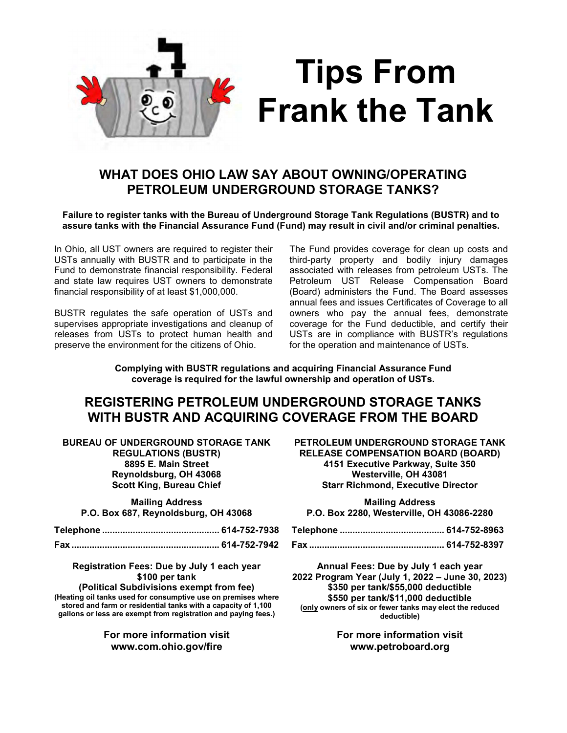

# Tips From Frank the Tank

## WHAT DOES OHIO LAW SAY ABOUT OWNING/OPERATING PETROLEUM UNDERGROUND STORAGE TANKS?

#### Failure to register tanks with the Bureau of Underground Storage Tank Regulations (BUSTR) and to assure tanks with the Financial Assurance Fund (Fund) may result in civil and/or criminal penalties.

In Ohio, all UST owners are required to register their USTs annually with BUSTR and to participate in the Fund to demonstrate financial responsibility. Federal and state law requires UST owners to demonstrate financial responsibility of at least \$1,000,000.

BUSTR regulates the safe operation of USTs and supervises appropriate investigations and cleanup of releases from USTs to protect human health and preserve the environment for the citizens of Ohio.

The Fund provides coverage for clean up costs and third-party property and bodily injury damages associated with releases from petroleum USTs. The Petroleum UST Release Compensation Board (Board) administers the Fund. The Board assesses annual fees and issues Certificates of Coverage to all owners who pay the annual fees, demonstrate coverage for the Fund deductible, and certify their USTs are in compliance with BUSTR's regulations for the operation and maintenance of USTs.

Complying with BUSTR regulations and acquiring Financial Assurance Fund coverage is required for the lawful ownership and operation of USTs.

### REGISTERING PETROLEUM UNDERGROUND STORAGE TANKS WITH BUSTR AND ACQUIRING COVERAGE FROM THE BOARD

BUREAU OF UNDERGROUND STORAGE TANK REGULATIONS (BUSTR) 8895 E. Main Street Reynoldsburg, OH 43068 Scott King, Bureau Chief

Mailing Address

P.O. Box 687, Reynoldsburg, OH 43068

Registration Fees: Due by July 1 each year \$100 per tank

(Political Subdivisions exempt from fee) (Heating oil tanks used for consumptive use on premises where stored and farm or residential tanks with a capacity of 1,100 gallons or less are exempt from registration and paying fees.)

> For more information visit www.com.ohio.gov/fire

PETROLEUM UNDERGROUND STORAGE TANK RELEASE COMPENSATION BOARD (BOARD) 4151 Executive Parkway, Suite 350 Westerville, OH 43081 Starr Richmond, Executive Director

Mailing Address P.O. Box 2280, Westerville, OH 43086-2280

Annual Fees: Due by July 1 each year 2022 Program Year (July 1, 2022 – June 30, 2023) \$350 per tank/\$55,000 deductible \$550 per tank/\$11,000 deductible (only owners of six or fewer tanks may elect the reduced deductible)

> For more information visit www.petroboard.org